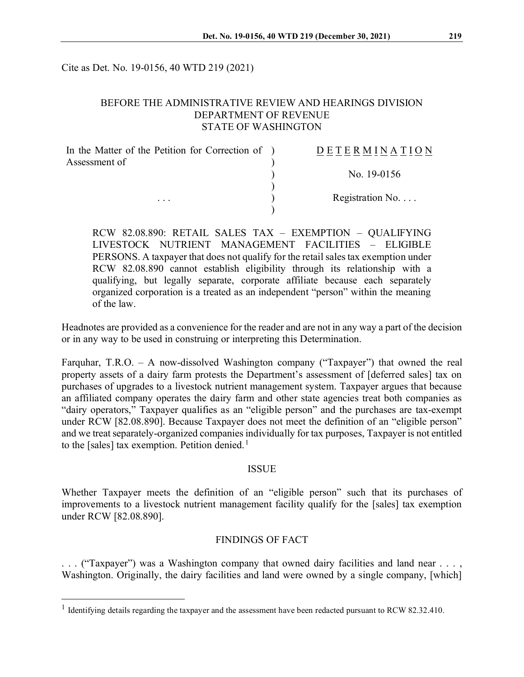Cite as Det. No. 19-0156, 40 WTD 219 (2021)

### BEFORE THE ADMINISTRATIVE REVIEW AND HEARINGS DIVISION DEPARTMENT OF REVENUE STATE OF WASHINGTON

| In the Matter of the Petition for Correction of ) | DETERMINATION            |
|---------------------------------------------------|--------------------------|
| Assessment of                                     |                          |
|                                                   | No. $19-0156$            |
|                                                   |                          |
| $\cdots$                                          | Registration No. $\dots$ |
|                                                   |                          |

RCW 82.08.890: RETAIL SALES TAX – EXEMPTION – QUALIFYING LIVESTOCK NUTRIENT MANAGEMENT FACILITIES – ELIGIBLE PERSONS. A taxpayer that does not qualify for the retail sales tax exemption under RCW 82.08.890 cannot establish eligibility through its relationship with a qualifying, but legally separate, corporate affiliate because each separately organized corporation is a treated as an independent "person" within the meaning of the law.

Headnotes are provided as a convenience for the reader and are not in any way a part of the decision or in any way to be used in construing or interpreting this Determination.

Farquhar, T.R.O. – A now-dissolved Washington company ("Taxpayer") that owned the real property assets of a dairy farm protests the Department's assessment of [deferred sales] tax on purchases of upgrades to a livestock nutrient management system. Taxpayer argues that because an affiliated company operates the dairy farm and other state agencies treat both companies as "dairy operators," Taxpayer qualifies as an "eligible person" and the purchases are tax-exempt under RCW [82.08.890]. Because Taxpayer does not meet the definition of an "eligible person" and we treat separately-organized companies individually for tax purposes, Taxpayer is not entitled to the [sales] tax exemption. Petition denied.<sup>[1](#page-0-0)</sup>

#### ISSUE

Whether Taxpayer meets the definition of an "eligible person" such that its purchases of improvements to a livestock nutrient management facility qualify for the [sales] tax exemption under RCW [82.08.890].

### FINDINGS OF FACT

. . . ("Taxpayer") was a Washington company that owned dairy facilities and land near . . . , Washington. Originally, the dairy facilities and land were owned by a single company, [which]

<span id="page-0-0"></span><sup>&</sup>lt;sup>1</sup> Identifying details regarding the taxpayer and the assessment have been redacted pursuant to RCW 82.32.410.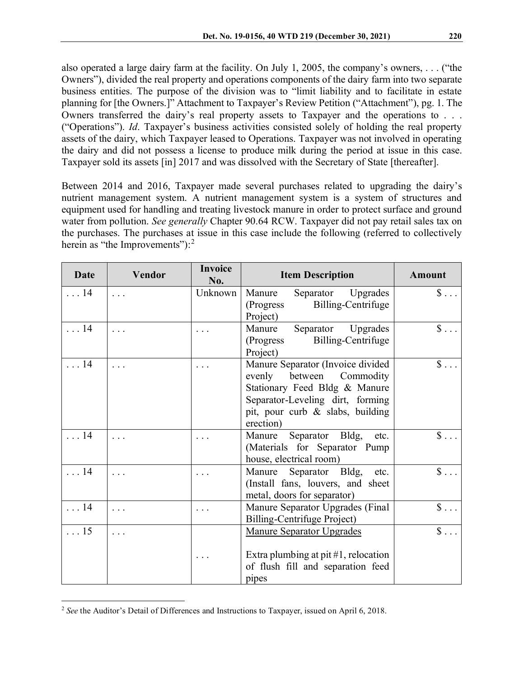also operated a large dairy farm at the facility. On July 1, 2005, the company's owners, . . . ("the Owners"), divided the real property and operations components of the dairy farm into two separate business entities. The purpose of the division was to "limit liability and to facilitate in estate planning for [the Owners.]" Attachment to Taxpayer's Review Petition ("Attachment"), pg. 1. The Owners transferred the dairy's real property assets to Taxpayer and the operations to . . . ("Operations"). *Id*. Taxpayer's business activities consisted solely of holding the real property assets of the dairy, which Taxpayer leased to Operations. Taxpayer was not involved in operating the dairy and did not possess a license to produce milk during the period at issue in this case. Taxpayer sold its assets [in] 2017 and was dissolved with the Secretary of State [thereafter].

Between 2014 and 2016, Taxpayer made several purchases related to upgrading the dairy's nutrient management system. A nutrient management system is a system of structures and equipment used for handling and treating livestock manure in order to protect surface and ground water from pollution. *See generally* Chapter 90.64 RCW. Taxpayer did not pay retail sales tax on the purchases. The purchases at issue in this case include the following (referred to collectively herein as "the Improvements"): $<sup>2</sup>$  $<sup>2</sup>$  $<sup>2</sup>$ </sup>

| <b>Date</b> | <b>Vendor</b> | <b>Invoice</b><br>No. | <b>Item Description</b>                                                                                                                                                                   | <b>Amount</b>        |
|-------------|---------------|-----------------------|-------------------------------------------------------------------------------------------------------------------------------------------------------------------------------------------|----------------------|
| $\ldots$ 14 | .             | Unknown               | Separator Upgrades<br>Manure<br>Billing-Centrifuge<br>(Progress)<br>Project)                                                                                                              | $\$\ldots$           |
| . 14        |               |                       | Separator<br>Manure<br>Upgrades<br>Billing-Centrifuge<br>(Progress)<br>Project)                                                                                                           | $\$\ldots$           |
| . 14        | .             |                       | Manure Separator (Invoice divided<br>evenly<br>between<br>Commodity<br>Stationary Feed Bldg & Manure<br>Separator-Leveling dirt, forming<br>pit, pour curb & slabs, building<br>erection) | $\$\ldots$           |
| $\ldots$ 14 | .             | $\ddots$              | Separator Bldg,<br>Manure<br>etc.<br>(Materials for Separator Pump<br>house, electrical room)                                                                                             | $\$\ldots$           |
| . 14        |               | .                     | Separator Bldg,<br>Manure<br>etc.<br>(Install fans, louvers, and sheet<br>metal, doors for separator)                                                                                     | $\mathsf{\$}\dots$   |
| . 14        | .             | $\ddots$              | Manure Separator Upgrades (Final<br><b>Billing-Centrifuge Project)</b>                                                                                                                    | $\hat{\mathbb{S}}$   |
| $\ldots$ 15 | .             |                       | <b>Manure Separator Upgrades</b><br>Extra plumbing at pit $#1$ , relocation<br>of flush fill and separation feed<br>pipes                                                                 | $\mathsf{\$} \ldots$ |

<span id="page-1-0"></span><sup>2</sup> *See* the Auditor's Detail of Differences and Instructions to Taxpayer, issued on April 6, 2018.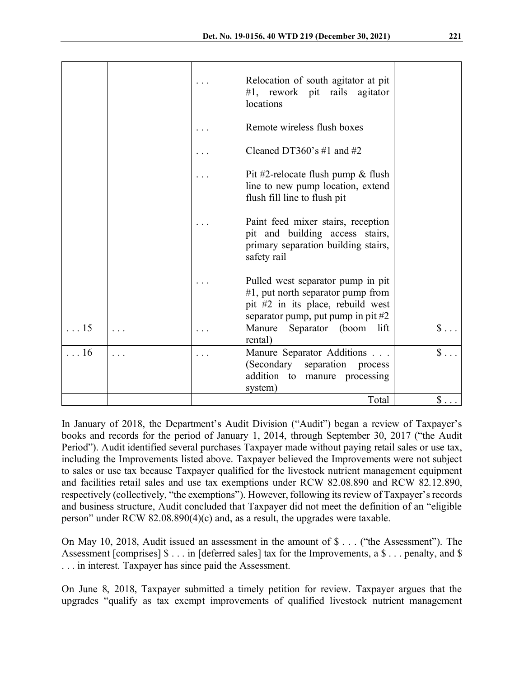|             |   | Relocation of south agitator at pit<br>$#1$ , rework pit rails agitator<br>locations                                                                   |              |
|-------------|---|--------------------------------------------------------------------------------------------------------------------------------------------------------|--------------|
|             |   | Remote wireless flush boxes                                                                                                                            |              |
|             |   | Cleaned DT360's #1 and #2                                                                                                                              |              |
|             |   | Pit #2-relocate flush pump $&$ flush<br>line to new pump location, extend<br>flush fill line to flush pit                                              |              |
|             |   | Paint feed mixer stairs, reception<br>pit and building access stairs,<br>primary separation building stairs,<br>safety rail                            |              |
|             |   | Pulled west separator pump in pit<br>$#1$ , put north separator pump from<br>pit #2 in its place, rebuild west<br>separator pump, put pump in pit $#2$ |              |
| $\ldots$ 15 | . | Separator<br>lift<br>Manure<br>(boom<br>rental)                                                                                                        | $\$\ldots$   |
| . 16        | . | Manure Separator Additions<br>(Secondary separation<br>process<br>addition to manure processing<br>system)                                             | $\mathbb{S}$ |
|             |   | Total                                                                                                                                                  | $\$\ldots$   |

In January of 2018, the Department's Audit Division ("Audit") began a review of Taxpayer's books and records for the period of January 1, 2014, through September 30, 2017 ("the Audit Period"). Audit identified several purchases Taxpayer made without paying retail sales or use tax, including the Improvements listed above. Taxpayer believed the Improvements were not subject to sales or use tax because Taxpayer qualified for the livestock nutrient management equipment and facilities retail sales and use tax exemptions under RCW 82.08.890 and RCW 82.12.890, respectively (collectively, "the exemptions"). However, following its review of Taxpayer's records and business structure, Audit concluded that Taxpayer did not meet the definition of an "eligible person" under RCW 82.08.890(4)(c) and, as a result, the upgrades were taxable.

On May 10, 2018, Audit issued an assessment in the amount of \$ . . . ("the Assessment"). The Assessment [comprises]  $\$\dots$  in [deferred sales] tax for the Improvements, a  $\$\dots$  penalty, and  $\$\$ . . . in interest. Taxpayer has since paid the Assessment.

On June 8, 2018, Taxpayer submitted a timely petition for review. Taxpayer argues that the upgrades "qualify as tax exempt improvements of qualified livestock nutrient management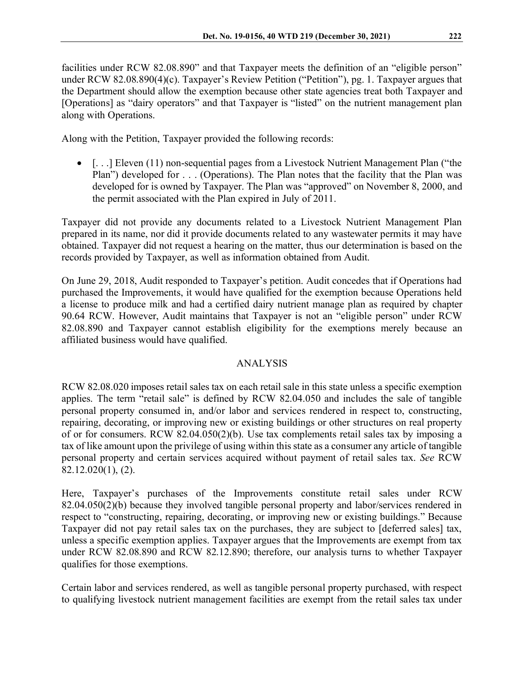facilities under RCW 82.08.890" and that Taxpayer meets the definition of an "eligible person" under RCW 82.08.890(4)(c). Taxpayer's Review Petition ("Petition"), pg. 1. Taxpayer argues that the Department should allow the exemption because other state agencies treat both Taxpayer and [Operations] as "dairy operators" and that Taxpayer is "listed" on the nutrient management plan along with Operations.

Along with the Petition, Taxpayer provided the following records:

•  $\lceil \ldots \rceil$  Eleven (11) non-sequential pages from a Livestock Nutrient Management Plan ("the Plan") developed for . . . (Operations). The Plan notes that the facility that the Plan was developed for is owned by Taxpayer. The Plan was "approved" on November 8, 2000, and the permit associated with the Plan expired in July of 2011.

Taxpayer did not provide any documents related to a Livestock Nutrient Management Plan prepared in its name, nor did it provide documents related to any wastewater permits it may have obtained. Taxpayer did not request a hearing on the matter, thus our determination is based on the records provided by Taxpayer, as well as information obtained from Audit.

On June 29, 2018, Audit responded to Taxpayer's petition. Audit concedes that if Operations had purchased the Improvements, it would have qualified for the exemption because Operations held a license to produce milk and had a certified dairy nutrient manage plan as required by chapter 90.64 RCW. However, Audit maintains that Taxpayer is not an "eligible person" under RCW 82.08.890 and Taxpayer cannot establish eligibility for the exemptions merely because an affiliated business would have qualified.

## ANALYSIS

RCW 82.08.020 imposes retail sales tax on each retail sale in this state unless a specific exemption applies. The term "retail sale" is defined by RCW 82.04.050 and includes the sale of tangible personal property consumed in, and/or labor and services rendered in respect to, constructing, repairing, decorating, or improving new or existing buildings or other structures on real property of or for consumers. RCW 82.04.050(2)(b). Use tax complements retail sales tax by imposing a tax of like amount upon the privilege of using within this state as a consumer any article of tangible personal property and certain services acquired without payment of retail sales tax. *See* RCW 82.12.020(1), (2).

Here, Taxpayer's purchases of the Improvements constitute retail sales under RCW 82.04.050(2)(b) because they involved tangible personal property and labor/services rendered in respect to "constructing, repairing, decorating, or improving new or existing buildings." Because Taxpayer did not pay retail sales tax on the purchases, they are subject to [deferred sales] tax, unless a specific exemption applies. Taxpayer argues that the Improvements are exempt from tax under RCW 82.08.890 and RCW 82.12.890; therefore, our analysis turns to whether Taxpayer qualifies for those exemptions.

Certain labor and services rendered, as well as tangible personal property purchased, with respect to qualifying livestock nutrient management facilities are exempt from the retail sales tax under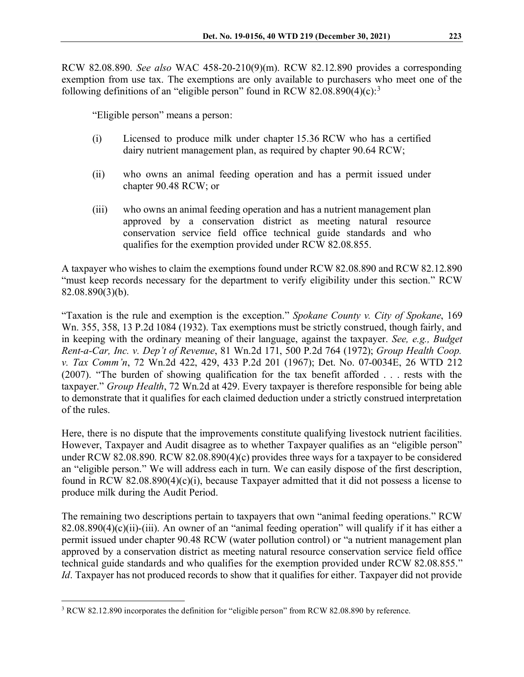RCW 82.08.890. *See also* WAC 458-20-210(9)(m). RCW 82.12.890 provides a corresponding exemption from use tax. The exemptions are only available to purchasers who meet one of the following definitions of an "eligible person" found in RCW 82.08.890(4)(c):<sup>[3](#page-4-0)</sup>

"Eligible person" means a person:

- (i) Licensed to produce milk under chapter 15.36 RCW who has a certified dairy nutrient management plan, as required by chapter 90.64 RCW;
- (ii) who owns an animal feeding operation and has a permit issued under chapter 90.48 RCW; or
- (iii) who owns an animal feeding operation and has a nutrient management plan approved by a conservation district as meeting natural resource conservation service field office technical guide standards and who qualifies for the exemption provided under RCW 82.08.855.

A taxpayer who wishes to claim the exemptions found under RCW 82.08.890 and RCW 82.12.890 "must keep records necessary for the department to verify eligibility under this section." RCW 82.08.890(3)(b).

"Taxation is the rule and exemption is the exception." *Spokane County v. City of Spokane*, 169 Wn. 355, 358, 13 P.2d 1084 (1932). Tax exemptions must be strictly construed, though fairly, and in keeping with the ordinary meaning of their language, against the taxpayer. *See, e.g., Budget Rent-a-Car, Inc. v. Dep't of Revenue*, 81 Wn.2d 171, 500 P.2d 764 (1972); *Group Health Coop. v. Tax Comm'n*, 72 Wn.2d 422, 429, 433 P.2d 201 (1967); Det. No. 07-0034E, 26 WTD 212 (2007). "The burden of showing qualification for the tax benefit afforded . . . rests with the taxpayer." *Group Health*, 72 Wn.2d at 429. Every taxpayer is therefore responsible for being able to demonstrate that it qualifies for each claimed deduction under a strictly construed interpretation of the rules.

Here, there is no dispute that the improvements constitute qualifying livestock nutrient facilities. However, Taxpayer and Audit disagree as to whether Taxpayer qualifies as an "eligible person" under RCW 82.08.890. RCW 82.08.890(4)(c) provides three ways for a taxpayer to be considered an "eligible person." We will address each in turn. We can easily dispose of the first description, found in RCW 82.08.890(4)(c)(i), because Taxpayer admitted that it did not possess a license to produce milk during the Audit Period.

The remaining two descriptions pertain to taxpayers that own "animal feeding operations." RCW 82.08.890(4)(c)(ii)-(iii). An owner of an "animal feeding operation" will qualify if it has either a permit issued under chapter 90.48 RCW (water pollution control) or "a nutrient management plan approved by a conservation district as meeting natural resource conservation service field office technical guide standards and who qualifies for the exemption provided under RCW 82.08.855." *Id*. Taxpayer has not produced records to show that it qualifies for either. Taxpayer did not provide

<span id="page-4-0"></span><sup>3</sup> RCW 82.12.890 incorporates the definition for "eligible person" from RCW 82.08.890 by reference.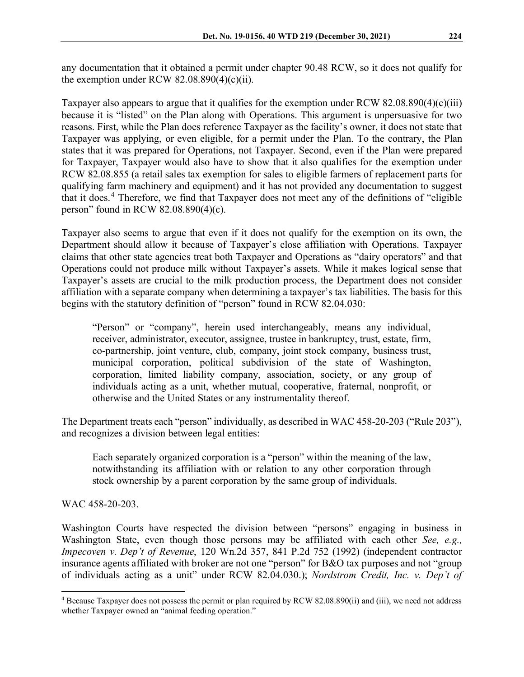any documentation that it obtained a permit under chapter 90.48 RCW, so it does not qualify for the exemption under RCW  $82.08.890(4)(c)(ii)$ .

Taxpayer also appears to argue that it qualifies for the exemption under RCW 82.08.890(4)(c)(iii) because it is "listed" on the Plan along with Operations. This argument is unpersuasive for two reasons. First, while the Plan does reference Taxpayer as the facility's owner, it does not state that Taxpayer was applying, or even eligible, for a permit under the Plan. To the contrary, the Plan states that it was prepared for Operations, not Taxpayer. Second, even if the Plan were prepared for Taxpayer, Taxpayer would also have to show that it also qualifies for the exemption under RCW 82.08.855 (a retail sales tax exemption for sales to eligible farmers of replacement parts for qualifying farm machinery and equipment) and it has not provided any documentation to suggest that it does.[4](#page-5-0) Therefore, we find that Taxpayer does not meet any of the definitions of "eligible person" found in RCW 82.08.890(4)(c).

Taxpayer also seems to argue that even if it does not qualify for the exemption on its own, the Department should allow it because of Taxpayer's close affiliation with Operations. Taxpayer claims that other state agencies treat both Taxpayer and Operations as "dairy operators" and that Operations could not produce milk without Taxpayer's assets. While it makes logical sense that Taxpayer's assets are crucial to the milk production process, the Department does not consider affiliation with a separate company when determining a taxpayer's tax liabilities. The basis for this begins with the statutory definition of "person" found in RCW 82.04.030:

"Person" or "company", herein used interchangeably, means any individual, receiver, administrator, executor, assignee, trustee in bankruptcy, trust, estate, firm, co-partnership, joint venture, club, company, joint stock company, business trust, municipal corporation, political subdivision of the state of Washington, corporation, limited liability company, association, society, or any group of individuals acting as a unit, whether mutual, cooperative, fraternal, nonprofit, or otherwise and the United States or any instrumentality thereof.

The Department treats each "person" individually, as described in WAC 458-20-203 ("Rule 203"), and recognizes a division between legal entities:

Each separately organized corporation is a "person" within the meaning of the law, notwithstanding its affiliation with or relation to any other corporation through stock ownership by a parent corporation by the same group of individuals.

WAC 458-20-203.

Washington Courts have respected the division between "persons" engaging in business in Washington State, even though those persons may be affiliated with each other *See, e.g., Impecoven v. Dep't of Revenue*, 120 Wn.2d 357, 841 P.2d 752 (1992) (independent contractor insurance agents affiliated with broker are not one "person" for B&O tax purposes and not "group of individuals acting as a unit" under RCW 82.04.030.); *Nordstrom Credit, Inc. v. Dep't of* 

<span id="page-5-0"></span><sup>&</sup>lt;sup>4</sup> Because Taxpayer does not possess the permit or plan required by RCW 82.08.890(ii) and (iii), we need not address whether Taxpayer owned an "animal feeding operation."